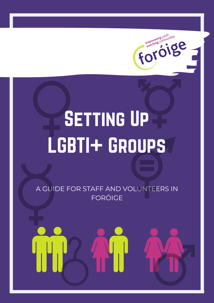

# SETTING UP LGBTI+ GROUPS

A GUIDE FOR STAFF AND VOLUNTEERS IN FORÓIGE

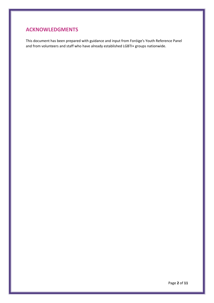# **ACKNOWLEDGMENTS**

This document has been prepared with guidance and input from Foróige's Youth Reference Panel and from volunteers and staff who have already established LGBTI+ groups nationwide.

Page **2** of **11**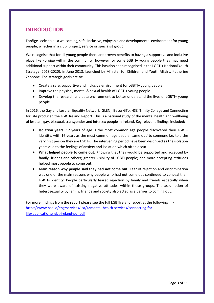### **INTRODUCTION**

Foróige seeks to be a welcoming, safe, inclusive, enjoyable and developmental environment for young people, whether in a club, project, service or specialist group.

We recognise that for all young people there are proven benefits to having a supportive and inclusive place like Foróige within the community, however for some LGBTI+ young people they may need additional support within their community. This has also been recognised in the LGBTI+ National Youth Strategy (2018-2020), in June 2018, launched by Minister for Children and Youth Affairs, Katherine Zappone. The strategic goals are to:

- Create a safe, supportive and inclusive environment for LGBTI+ young people.
- Improve the physical, mental & sexual health of LGBTI+ young people.
- Develop the research and data environment to better understand the lives of LGBTI+ young people.

In 2016, the Gay and Lesbian Equality Network (GLEN), BeLonGTo, HSE, Trinity College and Connecting for Life produced the LGBTIreland Report. This is a national study of the mental health and wellbeing of lesbian, gay, bisexual, transgender and intersex people in Ireland. Key relevant findings included:

- **Isolation years:** 12 years of age is the most common age people discovered their LGBT+ identity, with 16 years as the most common age people 'came out' to someone i.e. told the very first person they are LGBT+. The intervening period have been described as the isolation years due to the feelings of anxiety and isolation which often occur.
- **What helped people to come out:** Knowing that they would be supported and accepted by family, friends and others; greater visibility of LGBTI people; and more accepting attitudes helped most people to come out.
- **Main reason why people said they had not come out:** Fear of rejection and discrimination was one of the main reasons why people who had not come out continued to conceal their LGBTI+ identity. People particularly feared rejection by family and friends especially when they were aware of existing negative attitudes within these groups. The assumption of heterosexuality by family, friends and society also acted as a barrier to coming out.

For more findings from the report please see the full LGBTIreland report at the following link: [https://www.hse.ie/eng/services/list/4/mental-health-services/connecting-for](https://www.hse.ie/eng/services/list/4/mental-health-services/connecting-for-life/publications/lgbt-ireland-pdf.pdf)[life/publications/lgbt-ireland-pdf.pdf](https://www.hse.ie/eng/services/list/4/mental-health-services/connecting-for-life/publications/lgbt-ireland-pdf.pdf)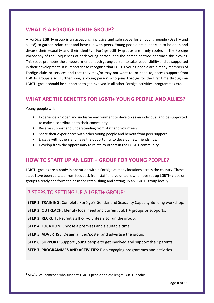## **WHAT IS A FORÓIGE LGBTI+ GROUP?**

A Foróige LGBTI+ group is an accepting, inclusive and safe space for all young people (LGBTI+ and allies<sup>1</sup>) to gather, relax, chat and have fun with peers. Young people are supported to be open and discuss their sexuality and their identity. Foróige LGBTI+ groups are firmly rooted in the Foróige Philosophy of the uniqueness of each young person, and the person centred approach this evokes. This space promotes the empowerment of each young person to take responsibility and be supported in their development. It is important to recognise that LGBTI+ young people are already members of Foróige clubs or services and that they may/or may not want to, or need to, access support from LGBTI+ groups also. Furthermore, a young person who joins Foróige for the first time through an LGBTI+ group should be supported to get involved in all other Foróige activities, programmes etc.

# **WHAT ARE THE BENEFITS FOR LGBTI+ YOUNG PEOPLE AND ALLIES?**

Young people will:

**.** 

- Experience an open and inclusive environment to develop as an individual and be supported to make a contribution to their community.
- Receive support and understanding from staff and volunteers.
- Share their experiences with other young people and benefit from peer support.
- Engage with others and have the opportunity to develop new friendships.
- Develop from the opportunity to relate to others in the LGBTI+ community.

## **HOW TO START UP AN LGBTI+ GROUP FOR YOUNG PEOPLE?**

LGBTI+ groups are already in operation within Foróige at many locations across the country. These steps have been collated from feedback from staff and volunteers who have set up LGBTI+ clubs or groups already and form the basis for establishing and setting up an LGBTI+ group locally.

## 7 STEPS TO SETTING UP A LGBTI+ GROUP:

**STEP 1. TRAINING:** Complete Foróige's Gender and Sexuality Capacity Building workshop.

**STEP 2: OUTREACH:** Identify local need and current LGBTI+ groups or supports.

**STEP 3: RECRUIT:** Recruit staff or volunteers to run the group.

**STEP 4: LOCATION:** Choose a premises and a suitable time.

**STEP 5: ADVERTISE:** Design a flyer/poster and advertise the group.

**STEP 6: SUPPORT:** Support young people to get involved and support their parents.

**STEP 7: PROGRAMMES AND ACTIVITIES:** Plan engaging programmes and activities.

 $1$  Ally/Allies: someone who supports LGBTI+ people and challenges LGBTI+ phobia.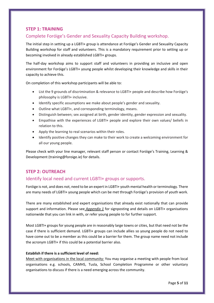#### **STEP 1: TRAINING**

#### Complete Foróige's Gender and Sexuality Capacity Building workshop.

The initial step in setting up a LGBTI+ group is attendance at Foróige's Gender and Sexuality Capacity Building workshop for staff and volunteers. This is a mandatory requirement prior to setting up or becoming involved in already established LGBTI+ groups.

The half-day workshop aims to support staff and volunteers in providing an inclusive and open environment for Foróige's LGBTI+ young people whilst developing their knowledge and skills in their capacity to achieve this.

On completion of this workshop participants will be able to:

- List the 9 grounds of discrimination & relevance to LGBTI+ people and describe how Foróige's philosophy is LGBTI+ inclusive.
- Identify specific assumptions we make about people's gender and sexuality.
- Outline what LGBTI+, and corresponding terminology, means.
- Distinguish between; sex assigned at birth, gender identity, gender expression and sexuality.
- Empathise with the experiences of LGBTI+ people and explore their own values/ beliefs in relation to this.
- Apply the learning to real scenarios within their roles.
- Identify positive changes they can make to their work to create a welcoming environment for all our young people.

Please check with your line manager, relevant staff person or contact Foróige's Training, Learning & Development (training@foroige.ie) for details.

#### **STEP 2: OUTREACH**

#### Identify local need and current LGBTI+ groups or supports.

Foróige is not, and does not, need to be an expert in LGBTI+ youth mental health or terminology. There are many needs of LGBTI+ young people which can be met through Foróige's provision of youth work.

There are many established and expert organisations that already exist nationally that can provide support and information. Please see *Appendix 1* for signposting and details on LGBTI+ organisations nationwide that you can link in with, or refer young people to for further support.

Most LGBTI+ groups for young people are in reasonably large towns or cities, but that need not be the case if there is sufficient demand. LGBTI+ groups can include allies so young people do not need to have come out to be a member as this could be a barrier for them. The group name need not include the acronym LGBTI+ if this could be a potential barrier also.

#### **Establish if there is a sufficient level of need:**

Meet with organisations in the local community: You may organise a meeting with people from local organisations e.g. schools, CAMHS, Tusla, School Completion Programme or other voluntary organisations to discuss if there is a need emerging across the community.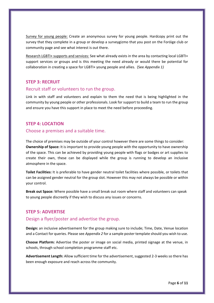Survey for young people: Create an anonymous survey for young people. Hardcopy print out the survey that they complete in a group or develop a surveygizmo that you post on the Foróige club or community page and see what interest is out there.

Research LGBTI+ supports and services: See what already exists in the area by contacting local LGBTI+ support services or groups and is this meeting the need already or would there be potential for collaboration in creating a space for LGBTI+ young people and allies. (See *Appendix 1)*

#### **STEP 3: RECRUIT**

#### Recruit staff or volunteers to run the group.

Link in with staff and volunteers and explain to them the need that is being highlighted in the community by young people or other professionals. Look for support to build a team to run the group and ensure you have this support in place to meet the need before proceeding.

#### **STEP 4: LOCATION**

#### Choose a premises and a suitable time.

The choice of premises may be outside of your control however there are some things to consider: **Ownership of Space:** It is important to provide young people with the opportunity to have ownership of the space. This can be achieved by providing young people with flags or badges or art supplies to create their own, these can be displayed while the group is running to develop an inclusive atmosphere in the space.

**Toilet Facilities:** It is preferable to have gender neutral toilet facilities where possible, or toilets that can be assigned gender neutral for the group slot. However this may not always be possible or within your control.

**Break out Space:** Where possible have a small break out room where staff and volunteers can speak to young people discreetly if they wish to discuss any issues or concerns.

#### **STEP 5: ADVERTISE**

#### Design a flyer/poster and advertise the group.

**Design:** an inclusive advertisement for the group making sure to include; Time, Date, Venue location and a Contact for queries. Please see *Appendix 2* for a sample poster template should you wish to use.

**Choose Platform:** Advertise the poster or image on social media, printed signage at the venue, in schools, through school completion programme staff etc.

**Advertisement Length:** Allow sufficient time for the advertisement, suggested 2-3 weeks so there has been enough exposure and reach across the community.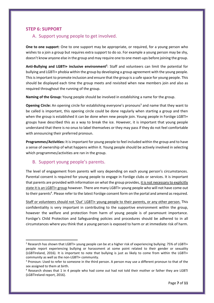#### **STEP 6: SUPPORT**

#### A. Support young people to get involved.

**One to one support**: One to one support may be appropriate, or required, for a young person who wishes to a join a group but requires extra support to do so. For example a young person may be shy, doesn't know anyone else in the group and may require one to one meet-ups before joining the group.

**Anti-Bullying and LGBTI+ inclusive environment<sup>2</sup>** : Staff and volunteers can limit the potential for bullying and LGBTI+ phobia within the group by developing a group agreement with the young people. This is important to promote inclusion and ensure that the group is a safe space for young people. This should be displayed each time the group meets and revisited when new members join and also as required throughout the running of the group.

**Naming of the Group:** Young people should be involved in establishing a name for the group.

Opening Circle: An opening circle for establishing everyone's pronouns<sup>3</sup> and name that they want to be called is important, this opening circle could be done regularly when starting a group and then when the group is established it can be done when new people join. Young people in Foróige LGBTI+ groups have described this as a way to break the ice. However, it is important that young people understand that there is no onus to label themselves or they may pass if they do not feel comfortable with announcing their preferred pronoun.

**Programmes/Activities:** It is important for young people to feel included within the group and to have a sense of ownership of what happens within it. Young people should be actively involved in selecting which programmes/activities are ran in the group.

#### B. Support young people's parents.

**.** 

The level of engagement from parents will vary depending on each young person's circumstances. Parental consent is required for young people to engage in Foróige clubs or services. It is important that parents are provided with information on what the group provides, it is not necessary to explicitly state it is an LGBTI+ group however. There are many LGBTI+ young people who will not have come out to their parents<sup>4</sup>. Please refer to the latest Foróige consent form on the portal and amend as required.

Staff or volunteers should not 'Out' LGBTI+ young people to their parents, or any other person. This confidentiality is very important in contributing to the supportive environment within the group, however the welfare and protection from harm of young people is of paramount importance. Foróige's Child Protection and Safeguarding policies and procedures should be adhered to in all circumstances where you think that a young person is exposed to harm or at immediate risk of harm.

<sup>2</sup> Research has shown that LGBTI+ young people can be at a higher risk of experiencing bullying: 75% of LGBTI+ people report experiencing bullying or harassment at some point related to their gender or sexuality (LGBTIreland, 2016). It is important to note that bullying is just as likely to come from within the LGBTI+ community as well as the non-LGBTI+ community.

<sup>&</sup>lt;sup>3</sup> Pronoun: Used to refer to someone in the third person. A person may use a different pronoun to that of the sex assigned to them at birth.

<sup>4</sup> Research shows that 1 in 4 people who had come out had not told their mother or father they are LGBTI (LGBTIreland report, 2016).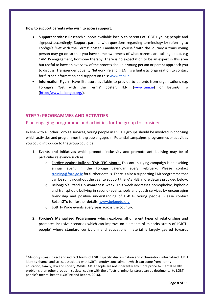#### **How to support parents who wish to access support:**

- **Support services:** Research support available locally to parents of LGBTI+ young people and signpost accordingly. Support parents with questions regarding terminology by referring to Foróige's 'Get with the Terms' poster. Familiarise yourself with the journey a trans young person may go on so that you have some awareness of what parents are talking about. e.g CAMHS engagement, hormone therapy. There is no expectation to be an expert in this area but useful to have an overview of the process should a young person or parent approach you to discuss. Transgender Equality Network Ireland (TENI) is a fantastic organisation to contact for further information and support on this: [www.teni.](http://www.teni/)ie.
- **Information Flyers:** Have literature available to provide to parents from organisations e.g. Foróige's 'Get with the Terms' poster, TENI [\(www.teni.ie\)](file:///C:/Users/Avril.hickey/Downloads/www.teni.ie) or BeLonG To [\(http://www.belongto.org/\)](http://www.belongto.org/).

#### **STEP 7: PROGRAMMES AND ACTIVITIES**

**.** 

#### Plan engaging programme and activities for the group to consider.

In line with all other Foróige services, young people in LGBTI+ groups should be involved in choosing which activities and programmes the group engages in. Potential campaigns, programmes or activities you could introduce to the group could be:

- 1. **Events and Initiatives** which promote inclusivity and promote anti bullying may be of particular relevance such as:
	- o Foróige Against Bullying (FAB FEB) Month: This anti-bullying campaign is an exciting annual event in the Foróige calendar every February. Please contact [training@foroige.ie](mailto:training@foroige.ie) for further details. There is also a supporting FAB programme that can be run throughout the year to support the FAB FEB, more details provided below.
	- o BelongTo's Stand Up Awareness week: This week addresses homophobic, biphobic and transphobic bullying in second-level schools and youth services by encouraging friendship and positive understanding of LGBTI+ young people. Please contact BeLonGTo for further details. [www.belongto.org.](http://www.belongto.org/)
	- o LGBTI+ Pride events every year across the country.
- 2. **Foróige's Manualised Programmes** which explores all different types of relationships and promotes inclusive scenarios which can improve on elements of minority stress of LGBTI+ people<sup>5</sup> where standard curriculum and educational material is largely geared towards

<sup>5</sup> Minority stress: direct and indirect forms of LGBTI specific discrimination and victimisation, internalised LGBTI identity shame, and stress associated with LGBTI identity concealment which can come from norms in education, family, law and society. While LGBTI people are not inherently any more prone to mental health problems than other groups in society, coping with the effects of minority stress can be detrimental to LGBT people's mental health (LGBTIreland Report, 2016).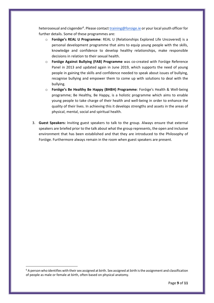heterosexual and cisgender<sup>6</sup>. Please contact *training@foroige.ie* or your local youth officer for further details. Some of these programmes are:

- o **Foróige's REAL U Programme**: REAL U (Relationships Explored Life Uncovered) is a personal development programme that aims to equip young people with the skills, knowledge and confidence to develop healthy relationships, make responsible decisions in relation to their sexual health.
- o **Foróige Against Bullying (FAB) Programme** was co-created with Foróige Reference Panel in 2013 and updated again in June 2019, which supports the need of young people in gaining the skills and confidence needed to speak about issues of bullying, recognise bullying and empower them to come up with solutions to deal with the bullying.
- o **Foróige's Be Healthy Be Happy (BHBH) Programme**: Foróige's Health & Well-being programme; Be Healthy, Be Happy, is a holistic programme which aims to enable young people to take charge of their health and well-being in order to enhance the quality of their lives. In achieving this it develops strengths and assets in the areas of physical, mental, social and spiritual health.
- 3. **Guest Speakers:** Inviting guest speakers to talk to the group. Always ensure that external speakers are briefed prior to the talk about what the group represents, the open and inclusive environment that has been established and that they are introduced to the Philosophy of Foróige. Furthermore always remain in the room when guest speakers are present.

 $\overline{\phantom{a}}$ 

 $6$  A person who identifies with their sex assigned at birth. Sex assigned at birth is the assignment and classification of people as male or female at birth, often based on physical anatomy.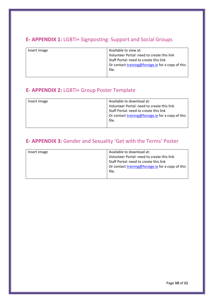# **E- APPENDIX 1:** LGBTI+ Signposting: Support and Social Groups

| Insert image | Available to view at:                             |
|--------------|---------------------------------------------------|
|              | Volunteer Portal: need to create this link        |
|              | Staff Portal: need to create this link            |
|              | Or contact training@foroige.ie for a copy of this |
|              | file.                                             |
|              |                                                   |

# **E- APPENDIX 2:** LGBTI+ Group Poster Template

| Insert image | Available to download at:                         |
|--------------|---------------------------------------------------|
|              | Volunteer Portal: need to create this link        |
|              | Staff Portal: need to create this link            |
|              | Or contact training@foroige.ie for a copy of this |
|              | file.                                             |
|              |                                                   |

# **E- APPENDIX 3:** Gender and Sexuality 'Get with the Terms' Poster

| Insert image | Available to download at:<br>Volunteer Portal: need to create this link                              |
|--------------|------------------------------------------------------------------------------------------------------|
|              | Staff Portal: need to create this link<br>Or contact training@foroige.ie for a copy of this<br>file. |
|              |                                                                                                      |